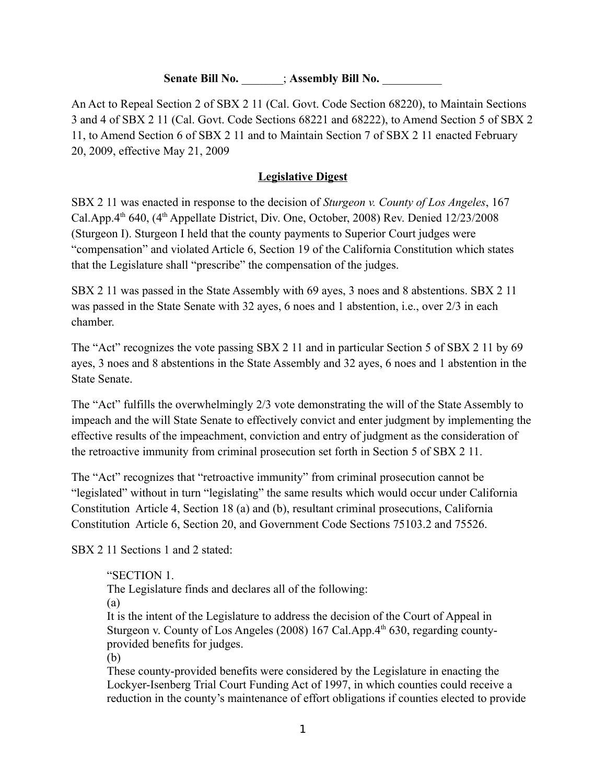### **Senate Bill No.**  $\qquad$  ; **Assembly Bill No.**

An Act to Repeal Section 2 of SBX 2 11 (Cal. Govt. Code Section 68220), to Maintain Sections 3 and 4 of SBX 2 11 (Cal. Govt. Code Sections 68221 and 68222), to Amend Section 5 of SBX 2 11, to Amend Section 6 of SBX 2 11 and to Maintain Section 7 of SBX 2 11 enacted February 20, 2009, effective May 21, 2009

### **Legislative Digest**

SBX 2 11 was enacted in response to the decision of *Sturgeon v. County of Los Angeles*, 167 Cal.App.4<sup>th</sup> 640, (4<sup>th</sup> Appellate District, Div. One, October, 2008) Rev. Denied 12/23/2008 (Sturgeon I). Sturgeon I held that the county payments to Superior Court judges were "compensation" and violated Article 6, Section 19 of the California Constitution which states that the Legislature shall "prescribe" the compensation of the judges.

SBX 2 11 was passed in the State Assembly with 69 ayes, 3 noes and 8 abstentions. SBX 2 11 was passed in the State Senate with 32 ayes, 6 noes and 1 abstention, i.e., over 2/3 in each chamber.

The "Act" recognizes the vote passing SBX 2 11 and in particular Section 5 of SBX 2 11 by 69 ayes, 3 noes and 8 abstentions in the State Assembly and 32 ayes, 6 noes and 1 abstention in the State Senate.

The "Act" fulfills the overwhelmingly 2/3 vote demonstrating the will of the State Assembly to impeach and the will State Senate to effectively convict and enter judgment by implementing the effective results of the impeachment, conviction and entry of judgment as the consideration of the retroactive immunity from criminal prosecution set forth in Section 5 of SBX 2 11.

The "Act" recognizes that "retroactive immunity" from criminal prosecution cannot be "legislated" without in turn "legislating" the same results which would occur under California Constitution Article 4, Section 18 (a) and (b), resultant criminal prosecutions, California Constitution Article 6, Section 20, and Government Code Sections 75103.2 and 75526.

SBX 2 11 Sections 1 and 2 stated:

"SECTION 1.

The Legislature finds and declares all of the following:

(a)

It is the intent of the Legislature to address the decision of the Court of Appeal in Sturgeon v. County of Los Angeles (2008) 167 Cal.App. $4<sup>th</sup> 630$ , regarding countyprovided benefits for judges.

(b)

These county-provided benefits were considered by the Legislature in enacting the Lockyer-Isenberg Trial Court Funding Act of 1997, in which counties could receive a reduction in the county's maintenance of effort obligations if counties elected to provide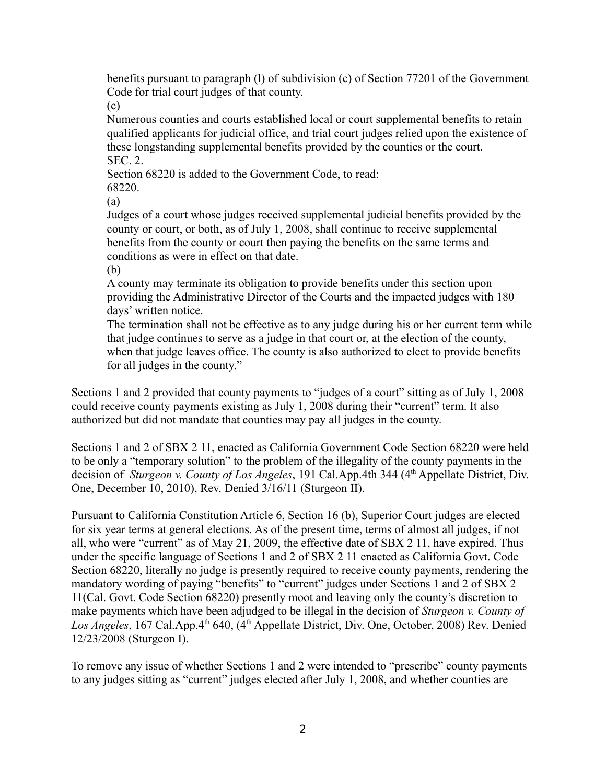benefits pursuant to paragraph (l) of subdivision (c) of Section 77201 of the Government Code for trial court judges of that county.

(c)

Numerous counties and courts established local or court supplemental benefits to retain qualified applicants for judicial office, and trial court judges relied upon the existence of these longstanding supplemental benefits provided by the counties or the court. SEC. 2.

Section 68220 is added to the Government Code, to read: 68220.

(a)

Judges of a court whose judges received supplemental judicial benefits provided by the county or court, or both, as of July 1, 2008, shall continue to receive supplemental benefits from the county or court then paying the benefits on the same terms and conditions as were in effect on that date.

(b)

A county may terminate its obligation to provide benefits under this section upon providing the Administrative Director of the Courts and the impacted judges with 180 days' written notice.

The termination shall not be effective as to any judge during his or her current term while that judge continues to serve as a judge in that court or, at the election of the county, when that judge leaves office. The county is also authorized to elect to provide benefits for all judges in the county."

Sections 1 and 2 provided that county payments to "judges of a court" sitting as of July 1, 2008 could receive county payments existing as July 1, 2008 during their "current" term. It also authorized but did not mandate that counties may pay all judges in the county.

Sections 1 and 2 of SBX 2 11, enacted as California Government Code Section 68220 were held to be only a "temporary solution" to the problem of the illegality of the county payments in the decision of *Sturgeon v. County of Los Angeles*, 191 Cal.App.4th 344 (4<sup>th</sup> Appellate District, Div. One, December 10, 2010), Rev. Denied 3/16/11 (Sturgeon II).

Pursuant to California Constitution Article 6, Section 16 (b), Superior Court judges are elected for six year terms at general elections. As of the present time, terms of almost all judges, if not all, who were "current" as of May 21, 2009, the effective date of SBX 2 11, have expired. Thus under the specific language of Sections 1 and 2 of SBX 2 11 enacted as California Govt. Code Section 68220, literally no judge is presently required to receive county payments, rendering the mandatory wording of paying "benefits" to "current" judges under Sections 1 and 2 of SBX 2 11(Cal. Govt. Code Section 68220) presently moot and leaving only the county's discretion to make payments which have been adjudged to be illegal in the decision of *Sturgeon v. County of*  Los Angeles, 167 Cal.App.4<sup>th</sup> 640, (4<sup>th</sup> Appellate District, Div. One, October, 2008) Rev. Denied 12/23/2008 (Sturgeon I).

To remove any issue of whether Sections 1 and 2 were intended to "prescribe" county payments to any judges sitting as "current" judges elected after July 1, 2008, and whether counties are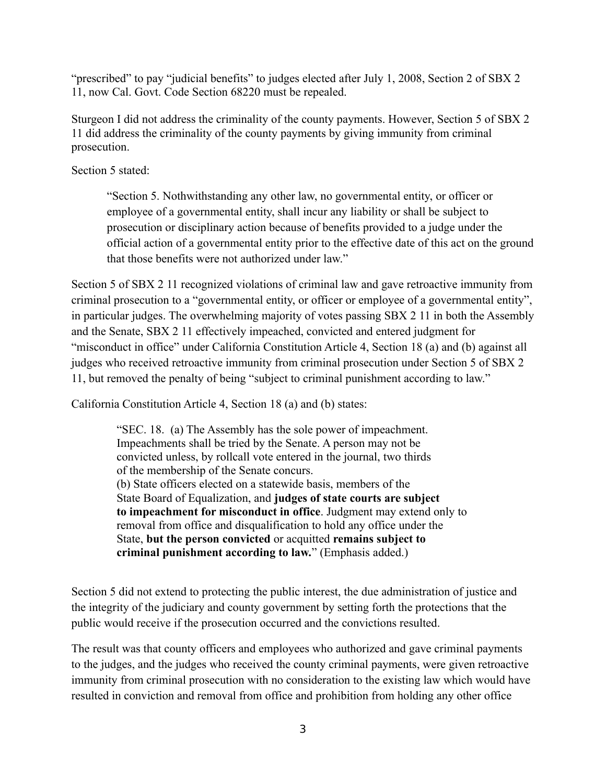"prescribed" to pay "judicial benefits" to judges elected after July 1, 2008, Section 2 of SBX 2 11, now Cal. Govt. Code Section 68220 must be repealed.

Sturgeon I did not address the criminality of the county payments. However, Section 5 of SBX 2 11 did address the criminality of the county payments by giving immunity from criminal prosecution.

Section 5 stated:

"Section 5. Nothwithstanding any other law, no governmental entity, or officer or employee of a governmental entity, shall incur any liability or shall be subject to prosecution or disciplinary action because of benefits provided to a judge under the official action of a governmental entity prior to the effective date of this act on the ground that those benefits were not authorized under law."

Section 5 of SBX 2 11 recognized violations of criminal law and gave retroactive immunity from criminal prosecution to a "governmental entity, or officer or employee of a governmental entity", in particular judges. The overwhelming majority of votes passing SBX 2 11 in both the Assembly and the Senate, SBX 2 11 effectively impeached, convicted and entered judgment for "misconduct in office" under California Constitution Article 4, Section 18 (a) and (b) against all judges who received retroactive immunity from criminal prosecution under Section 5 of SBX 2 11, but removed the penalty of being "subject to criminal punishment according to law."

California Constitution Article 4, Section 18 (a) and (b) states:

"SEC. 18. (a) The Assembly has the sole power of impeachment. Impeachments shall be tried by the Senate. A person may not be convicted unless, by rollcall vote entered in the journal, two thirds of the membership of the Senate concurs. (b) State officers elected on a statewide basis, members of the State Board of Equalization, and **judges of state courts are subject to impeachment for misconduct in office**. Judgment may extend only to removal from office and disqualification to hold any office under the State, **but the person convicted** or acquitted **remains subject to criminal punishment according to law.**" (Emphasis added.)

Section 5 did not extend to protecting the public interest, the due administration of justice and the integrity of the judiciary and county government by setting forth the protections that the public would receive if the prosecution occurred and the convictions resulted.

The result was that county officers and employees who authorized and gave criminal payments to the judges, and the judges who received the county criminal payments, were given retroactive immunity from criminal prosecution with no consideration to the existing law which would have resulted in conviction and removal from office and prohibition from holding any other office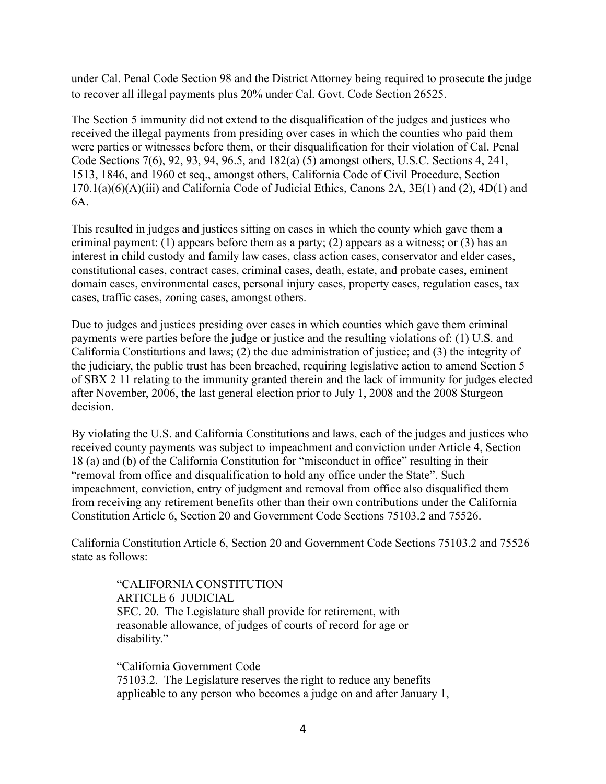under Cal. Penal Code Section 98 and the District Attorney being required to prosecute the judge to recover all illegal payments plus 20% under Cal. Govt. Code Section 26525.

The Section 5 immunity did not extend to the disqualification of the judges and justices who received the illegal payments from presiding over cases in which the counties who paid them were parties or witnesses before them, or their disqualification for their violation of Cal. Penal Code Sections 7(6), 92, 93, 94, 96.5, and 182(a) (5) amongst others, U.S.C. Sections 4, 241, 1513, 1846, and 1960 et seq., amongst others, California Code of Civil Procedure, Section 170.1(a)(6)(A)(iii) and California Code of Judicial Ethics, Canons 2A, 3E(1) and (2), 4D(1) and 6A.

This resulted in judges and justices sitting on cases in which the county which gave them a criminal payment: (1) appears before them as a party; (2) appears as a witness; or (3) has an interest in child custody and family law cases, class action cases, conservator and elder cases, constitutional cases, contract cases, criminal cases, death, estate, and probate cases, eminent domain cases, environmental cases, personal injury cases, property cases, regulation cases, tax cases, traffic cases, zoning cases, amongst others.

Due to judges and justices presiding over cases in which counties which gave them criminal payments were parties before the judge or justice and the resulting violations of: (1) U.S. and California Constitutions and laws; (2) the due administration of justice; and (3) the integrity of the judiciary, the public trust has been breached, requiring legislative action to amend Section 5 of SBX 2 11 relating to the immunity granted therein and the lack of immunity for judges elected after November, 2006, the last general election prior to July 1, 2008 and the 2008 Sturgeon decision.

By violating the U.S. and California Constitutions and laws, each of the judges and justices who received county payments was subject to impeachment and conviction under Article 4, Section 18 (a) and (b) of the California Constitution for "misconduct in office" resulting in their "removal from office and disqualification to hold any office under the State". Such impeachment, conviction, entry of judgment and removal from office also disqualified them from receiving any retirement benefits other than their own contributions under the California Constitution Article 6, Section 20 and Government Code Sections 75103.2 and 75526.

California Constitution Article 6, Section 20 and Government Code Sections 75103.2 and 75526 state as follows:

"CALIFORNIA CONSTITUTION ARTICLE 6 JUDICIAL SEC. 20. The Legislature shall provide for retirement, with reasonable allowance, of judges of courts of record for age or disability."

"California Government Code 75103.2. The Legislature reserves the right to reduce any benefits applicable to any person who becomes a judge on and after January 1,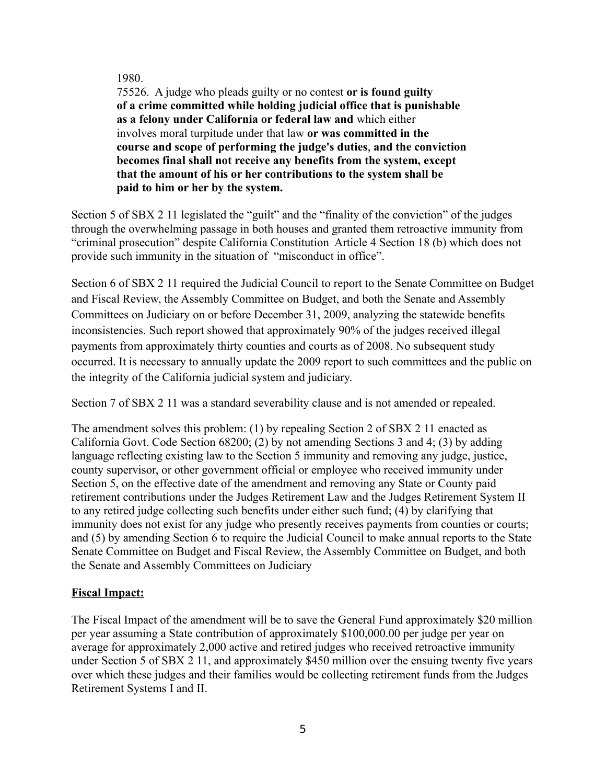#### 1980.

75526. A judge who pleads guilty or no contest **or is found guilty of a crime committed while holding judicial office that is punishable as a felony under California or federal law and** which either involves moral turpitude under that law **or was committed in the course and scope of performing the judge's duties**, **and the conviction becomes final shall not receive any benefits from the system, except that the amount of his or her contributions to the system shall be paid to him or her by the system.**

Section 5 of SBX 2 11 legislated the "guilt" and the "finality of the conviction" of the judges through the overwhelming passage in both houses and granted them retroactive immunity from "criminal prosecution" despite California Constitution Article 4 Section 18 (b) which does not provide such immunity in the situation of "misconduct in office".

Section 6 of SBX 2 11 required the Judicial Council to report to the Senate Committee on Budget and Fiscal Review, the Assembly Committee on Budget, and both the Senate and Assembly Committees on Judiciary on or before December 31, 2009, analyzing the statewide benefits inconsistencies. Such report showed that approximately 90% of the judges received illegal payments from approximately thirty counties and courts as of 2008. No subsequent study occurred. It is necessary to annually update the 2009 report to such committees and the public on the integrity of the California judicial system and judiciary.

Section 7 of SBX 2 11 was a standard severability clause and is not amended or repealed.

The amendment solves this problem: (1) by repealing Section 2 of SBX 2 11 enacted as California Govt. Code Section 68200; (2) by not amending Sections 3 and 4; (3) by adding language reflecting existing law to the Section 5 immunity and removing any judge, justice, county supervisor, or other government official or employee who received immunity under Section 5, on the effective date of the amendment and removing any State or County paid retirement contributions under the Judges Retirement Law and the Judges Retirement System II to any retired judge collecting such benefits under either such fund; (4) by clarifying that immunity does not exist for any judge who presently receives payments from counties or courts; and (5) by amending Section 6 to require the Judicial Council to make annual reports to the State Senate Committee on Budget and Fiscal Review, the Assembly Committee on Budget, and both the Senate and Assembly Committees on Judiciary

### **Fiscal Impact:**

The Fiscal Impact of the amendment will be to save the General Fund approximately \$20 million per year assuming a State contribution of approximately \$100,000.00 per judge per year on average for approximately 2,000 active and retired judges who received retroactive immunity under Section 5 of SBX 2 11, and approximately \$450 million over the ensuing twenty five years over which these judges and their families would be collecting retirement funds from the Judges Retirement Systems I and II.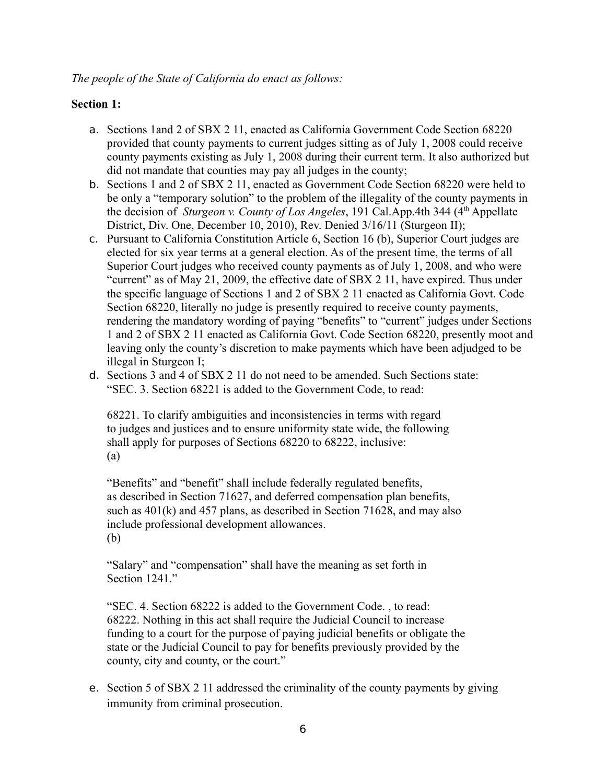## **Section 1:**

- a. Sections 1and 2 of SBX 2 11, enacted as California Government Code Section 68220 provided that county payments to current judges sitting as of July 1, 2008 could receive county payments existing as July 1, 2008 during their current term. It also authorized but did not mandate that counties may pay all judges in the county;
- b. Sections 1 and 2 of SBX 2 11, enacted as Government Code Section 68220 were held to be only a "temporary solution" to the problem of the illegality of the county payments in the decision of *Sturgeon v. County of Los Angeles*, 191 Cal.App.4th 344 (4<sup>th</sup> Appellate District, Div. One, December 10, 2010), Rev. Denied 3/16/11 (Sturgeon II);
- c. Pursuant to California Constitution Article 6, Section 16 (b), Superior Court judges are elected for six year terms at a general election. As of the present time, the terms of all Superior Court judges who received county payments as of July 1, 2008, and who were "current" as of May 21, 2009, the effective date of SBX 2 11, have expired. Thus under the specific language of Sections 1 and 2 of SBX 2 11 enacted as California Govt. Code Section 68220, literally no judge is presently required to receive county payments, rendering the mandatory wording of paying "benefits" to "current" judges under Sections 1 and 2 of SBX 2 11 enacted as California Govt. Code Section 68220, presently moot and leaving only the county's discretion to make payments which have been adjudged to be illegal in Sturgeon I;
- d. Sections 3 and 4 of SBX 2 11 do not need to be amended. Such Sections state: "SEC. 3. Section 68221 is added to the Government Code, to read:

68221. To clarify ambiguities and inconsistencies in terms with regard to judges and justices and to ensure uniformity state wide, the following shall apply for purposes of Sections 68220 to 68222, inclusive: (a)

"Benefits" and "benefit" shall include federally regulated benefits, as described in Section 71627, and deferred compensation plan benefits, such as 401(k) and 457 plans, as described in Section 71628, and may also include professional development allowances. (b)

"Salary" and "compensation" shall have the meaning as set forth in Section 1241<sup>"</sup>

"SEC. 4. Section 68222 is added to the Government Code. , to read: 68222. Nothing in this act shall require the Judicial Council to increase funding to a court for the purpose of paying judicial benefits or obligate the state or the Judicial Council to pay for benefits previously provided by the county, city and county, or the court."

e. Section 5 of SBX 2 11 addressed the criminality of the county payments by giving immunity from criminal prosecution.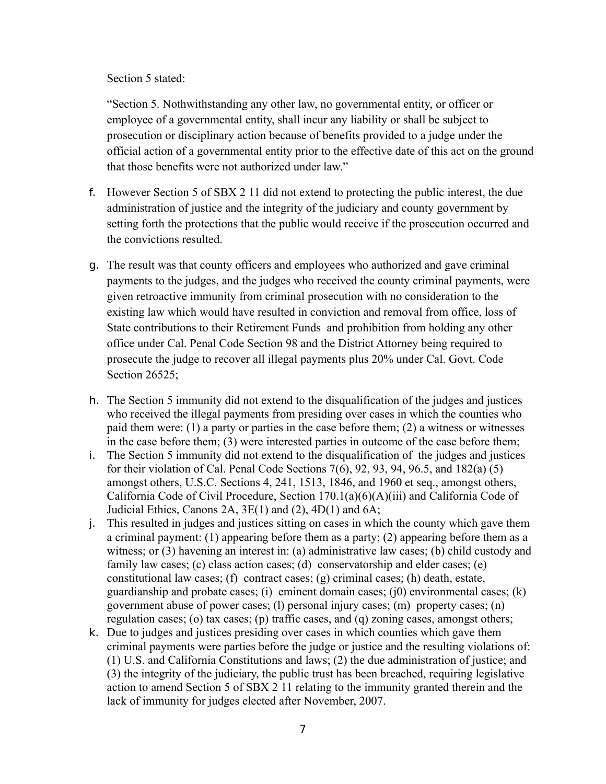Section 5 stated:

"Section 5. Nothwithstanding any other law, no governmental entity, or officer or employee of a governmental entity, shall incur any liability or shall be subject to prosecution or disciplinary action because of benefits provided to a judge under the official action of a governmental entity prior to the effective date of this act on the ground that those benefits were not authorized under law."

- f. However Section 5 of SBX 2 11 did not extend to protecting the public interest, the due administration of justice and the integrity of the judiciary and county government by setting forth the protections that the public would receive if the prosecution occurred and the convictions resulted.
- g. The result was that county officers and employees who authorized and gave criminal payments to the judges, and the judges who received the county criminal payments, were given retroactive immunity from criminal prosecution with no consideration to the existing law which would have resulted in conviction and removal from office, loss of State contributions to their Retirement Funds and prohibition from holding any other office under Cal. Penal Code Section 98 and the District Attorney being required to prosecute the judge to recover all illegal payments plus 20% under Cal. Govt. Code Section 26525;
- h. The Section 5 immunity did not extend to the disqualification of the judges and justices who received the illegal payments from presiding over cases in which the counties who paid them were: (1) a party or parties in the case before them; (2) a witness or witnesses in the case before them; (3) were interested parties in outcome of the case before them;
- i. The Section 5 immunity did not extend to the disqualification of the judges and justices for their violation of Cal. Penal Code Sections 7(6), 92, 93, 94, 96.5, and 182(a) (5) amongst others, U.S.C. Sections 4, 241, 1513, 1846, and 1960 et seq., amongst others, California Code of Civil Procedure, Section 170.1(a)(6)(A)(iii) and California Code of Judicial Ethics, Canons 2A,  $3E(1)$  and  $(2)$ ,  $4D(1)$  and  $6A$ ;
- j. This resulted in judges and justices sitting on cases in which the county which gave them a criminal payment: (1) appearing before them as a party; (2) appearing before them as a witness; or (3) havening an interest in: (a) administrative law cases; (b) child custody and family law cases; (c) class action cases; (d) conservatorship and elder cases; (e) constitutional law cases; (f) contract cases; (g) criminal cases; (h) death, estate, guardianship and probate cases; (i) eminent domain cases; (i0) environmental cases;  $(k)$ government abuse of power cases; (l) personal injury cases; (m) property cases; (n) regulation cases; (o) tax cases; (p) traffic cases, and (q) zoning cases, amongst others;
- k. Due to judges and justices presiding over cases in which counties which gave them criminal payments were parties before the judge or justice and the resulting violations of: (1) U.S. and California Constitutions and laws; (2) the due administration of justice; and (3) the integrity of the judiciary, the public trust has been breached, requiring legislative action to amend Section 5 of SBX 2 11 relating to the immunity granted therein and the lack of immunity for judges elected after November, 2007.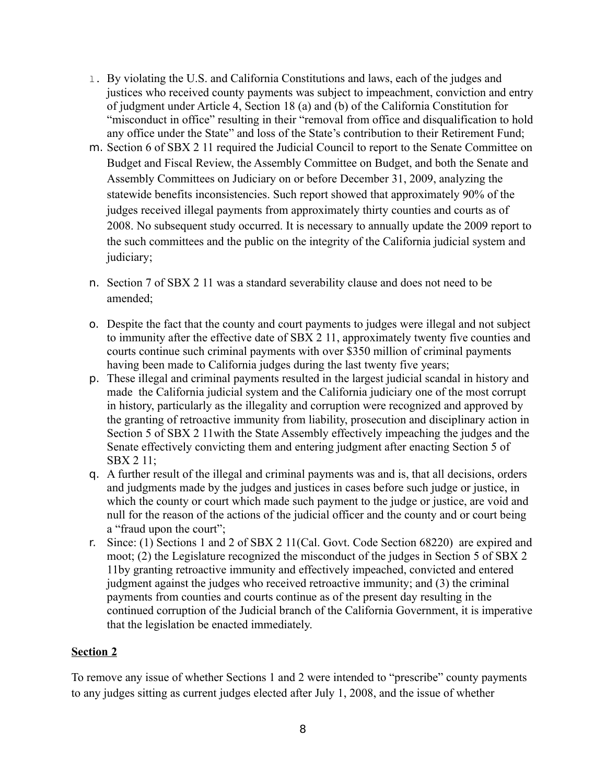- l. By violating the U.S. and California Constitutions and laws, each of the judges and justices who received county payments was subject to impeachment, conviction and entry of judgment under Article 4, Section 18 (a) and (b) of the California Constitution for "misconduct in office" resulting in their "removal from office and disqualification to hold any office under the State" and loss of the State's contribution to their Retirement Fund;
- m. Section 6 of SBX 2 11 required the Judicial Council to report to the Senate Committee on Budget and Fiscal Review, the Assembly Committee on Budget, and both the Senate and Assembly Committees on Judiciary on or before December 31, 2009, analyzing the statewide benefits inconsistencies. Such report showed that approximately 90% of the judges received illegal payments from approximately thirty counties and courts as of 2008. No subsequent study occurred. It is necessary to annually update the 2009 report to the such committees and the public on the integrity of the California judicial system and judiciary;
- n. Section 7 of SBX 2 11 was a standard severability clause and does not need to be amended;
- o. Despite the fact that the county and court payments to judges were illegal and not subject to immunity after the effective date of SBX 2 11, approximately twenty five counties and courts continue such criminal payments with over \$350 million of criminal payments having been made to California judges during the last twenty five years;
- p. These illegal and criminal payments resulted in the largest judicial scandal in history and made the California judicial system and the California judiciary one of the most corrupt in history, particularly as the illegality and corruption were recognized and approved by the granting of retroactive immunity from liability, prosecution and disciplinary action in Section 5 of SBX 2 11with the State Assembly effectively impeaching the judges and the Senate effectively convicting them and entering judgment after enacting Section 5 of SBX 2 11;
- q. A further result of the illegal and criminal payments was and is, that all decisions, orders and judgments made by the judges and justices in cases before such judge or justice, in which the county or court which made such payment to the judge or justice, are void and null for the reason of the actions of the judicial officer and the county and or court being a "fraud upon the court";
- r. Since: (1) Sections 1 and 2 of SBX 2 11(Cal. Govt. Code Section 68220) are expired and moot; (2) the Legislature recognized the misconduct of the judges in Section 5 of SBX 2 11by granting retroactive immunity and effectively impeached, convicted and entered judgment against the judges who received retroactive immunity; and (3) the criminal payments from counties and courts continue as of the present day resulting in the continued corruption of the Judicial branch of the California Government, it is imperative that the legislation be enacted immediately.

# **Section 2**

To remove any issue of whether Sections 1 and 2 were intended to "prescribe" county payments to any judges sitting as current judges elected after July 1, 2008, and the issue of whether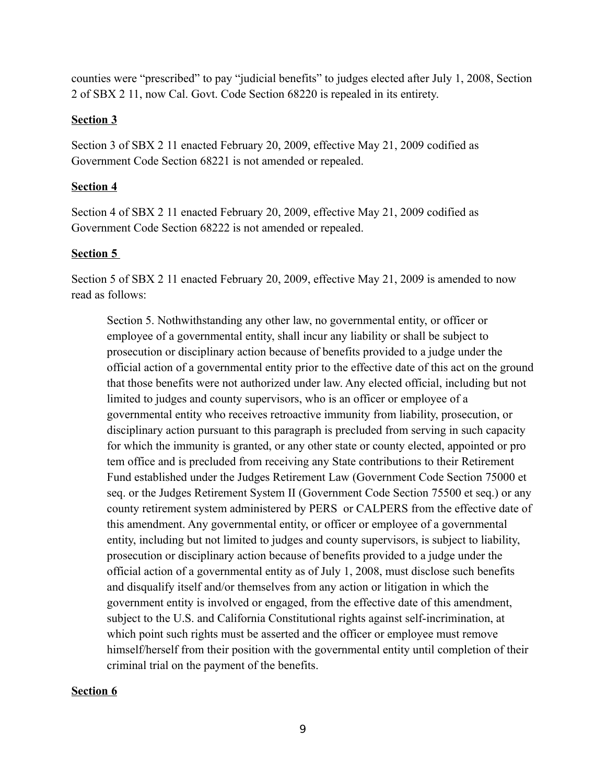counties were "prescribed" to pay "judicial benefits" to judges elected after July 1, 2008, Section 2 of SBX 2 11, now Cal. Govt. Code Section 68220 is repealed in its entirety.

## **Section 3**

Section 3 of SBX 2 11 enacted February 20, 2009, effective May 21, 2009 codified as Government Code Section 68221 is not amended or repealed.

## **Section 4**

Section 4 of SBX 2 11 enacted February 20, 2009, effective May 21, 2009 codified as Government Code Section 68222 is not amended or repealed.

## **Section 5**

Section 5 of SBX 2 11 enacted February 20, 2009, effective May 21, 2009 is amended to now read as follows:

Section 5. Nothwithstanding any other law, no governmental entity, or officer or employee of a governmental entity, shall incur any liability or shall be subject to prosecution or disciplinary action because of benefits provided to a judge under the official action of a governmental entity prior to the effective date of this act on the ground that those benefits were not authorized under law. Any elected official, including but not limited to judges and county supervisors, who is an officer or employee of a governmental entity who receives retroactive immunity from liability, prosecution, or disciplinary action pursuant to this paragraph is precluded from serving in such capacity for which the immunity is granted, or any other state or county elected, appointed or pro tem office and is precluded from receiving any State contributions to their Retirement Fund established under the Judges Retirement Law (Government Code Section 75000 et seq. or the Judges Retirement System II (Government Code Section 75500 et seq.) or any county retirement system administered by PERS or CALPERS from the effective date of this amendment. Any governmental entity, or officer or employee of a governmental entity, including but not limited to judges and county supervisors, is subject to liability, prosecution or disciplinary action because of benefits provided to a judge under the official action of a governmental entity as of July 1, 2008, must disclose such benefits and disqualify itself and/or themselves from any action or litigation in which the government entity is involved or engaged, from the effective date of this amendment, subject to the U.S. and California Constitutional rights against self-incrimination, at which point such rights must be asserted and the officer or employee must remove himself/herself from their position with the governmental entity until completion of their criminal trial on the payment of the benefits.

### **Section 6**